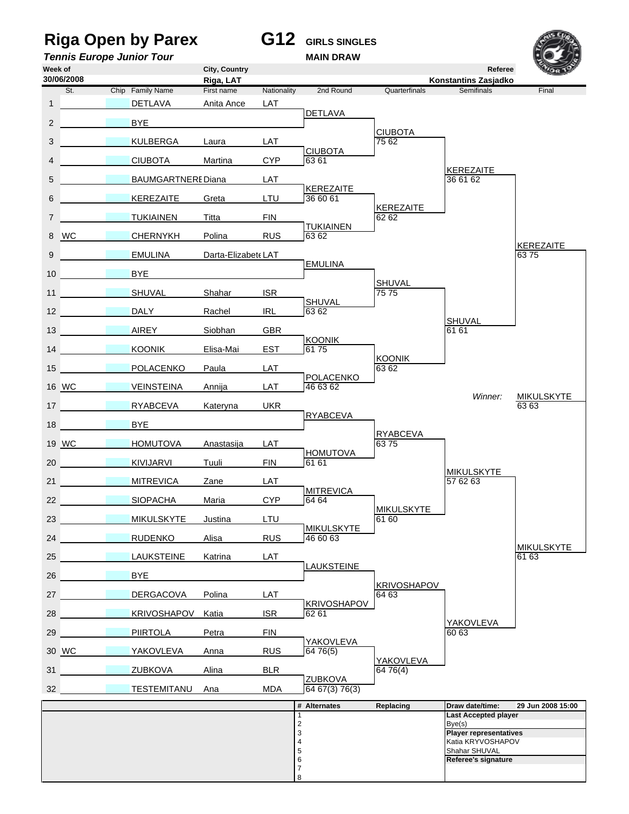## **Riga Open by Parex G12 GIRLS SINGLES**

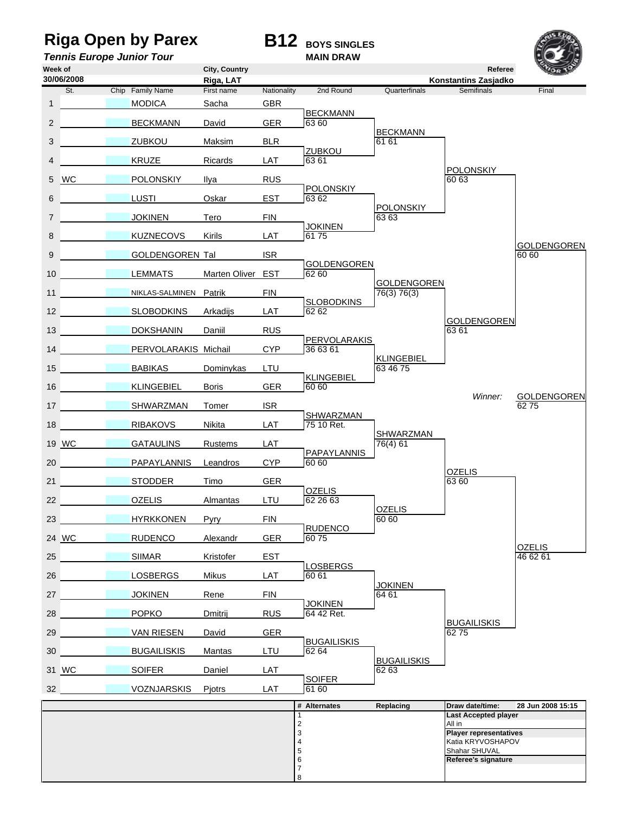### **Riga Open by Parex B12 BOYS SINGLES**

### **Tennis Europe Junior Tour MAIN DRAW**



**Week of City, Country Referee Riga, LAT**<br> **Riga, LAT** Mationality 2nd Round Quarterfinals Semifinals<br>
First name Nationality 2nd Round Quarterfinals Semifinals St. Chip Family Name First name Nationality 2nd Round Quarterfinals Semifinals 1 **MODICA** Sacha GBR BECKMANN<br>GER 63.60 2 BECKMANN David Umpire *a* BECKMANN 3 DA 32 ZUBKOU Maksim BLR 61 61 External <u>ZUBKOU</u><br>LAT 63.61 4 **A 11 Ricards Ricards Ricards** POLONSKIY<br>60 63 5 WC 21 POLONSKIY 11ya RUS POLONSKIY<br>EST 63 62 6 DA 15 LUSTI Oskar EST 63 62 POLONSKIY 7 DA 9 JOKINEN Tero FIN 63 63 LAT JOKINEN 8 **BAN 12 KUZNECOVS** Kirils GOLDENGOREN<br>60 60 9 **DA GOLDENGOREN Tal ISR** GOLDENGOREN<br>62 60 10 **LEMMATS** Marten Oliver EST Umpire *a* GOLDENGOREN 11 NIKLAS-SALMINEN Patrik FIN FIN 76(3) 76(3) External SLOBODKINS<br>LAT 62 62 12 **SLOBODKINS** Arkadijs Umpire *a* GOLDENGOREN 13 DOKSHANIN Daniil RUS 6361 PERVOLARAKIS<br>CYP 36 63 61 14 DA 20 PERVOLARAKIS Michail Umpire *b* KLINGEBIEL 15 BABIKAS Dominykas LTU 63 46 75 ER
BER **BER b** 60 60 16 **KLINGEBIEL Boris GER 60 60** *Winner:* GOLDENGOREN 17 **DA 25 SHWARZMAN Tomer ISR** ISR 275 External SHWARZMAN<br>LAT 75 10 Ret. 18 RIBAKOVS Nikita LAT 75 10 Ret. Umpire *a* SHWARZMAN 19 WC GATAULINS Rustems LAT 76(4) 61 PAPAYLANNIS<br>CYP 60 60 20 DAPAYLANNIS Leandros *<u>OZELIS</u>* 21 STODDER Timo GER 63 60 D<u>OZELIS</u><br>152 26 63 22 **DA 18 OZELIS** Almantas LTU 62 26 63 OZELIS<br>60 60 23 **HYRKKONEN** Pyry FIN RUDENCO<br>GER 6075 24 WC RUDENCO Alexandr OZELIS<br>46 62 61 25 **SIIMAR** Kristofer EST 4662 61 LOSBERGS<br>LAT 60 61 26 **LOSBERGS** Mikus JOKINEN<br>64 61 27 DA 8 JOKINEN Rene FIN 64 61 RUS **64 42 Ret** 28 **POPKO** Dmitrij RUS 64 42 Ret. BUGAILISKIS<br>62.75 29 VAN RIESEN David GER BUGAILISKIS<br>LTU 62 64 30 **BUGAILISKIS** Mantas LTU 62 64 BUGAILISKIS<br>62 63 31 WC 28 SOIFER Daniel LAT LAT **6160** 32 VOZNJARSKIS Pjotrs **# Alternates Replacing Draw date/time: 28 Jun 2008 15:15** 1 **Last Accepted player** 2 All in 2<br>
3<br> **Player representatives**<br>
4<br> **Player representatives**<br> **Player representatives**<br> **Player representatives**<br> **Shahar SHUVAL** Katia KRYVOSHAPOV Shahar SHUVAL 6 **Referee's signature** 7 **30/06/2008**

8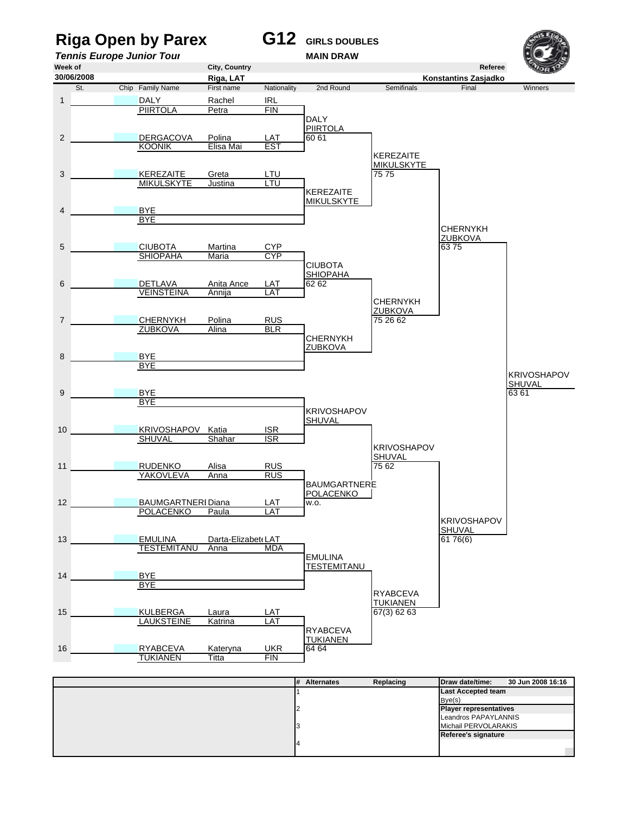

| .<br>.<br>. <u>.</u> | .                             |
|----------------------|-------------------------------|
|                      | <b>Last Accepted team</b>     |
|                      | Bye(s)                        |
|                      | <b>Player representatives</b> |
|                      | Leandros PAPAYLANNIS          |
|                      | Michail PERVOLARAKIS          |
|                      | Referee's signature           |
|                      |                               |
|                      |                               |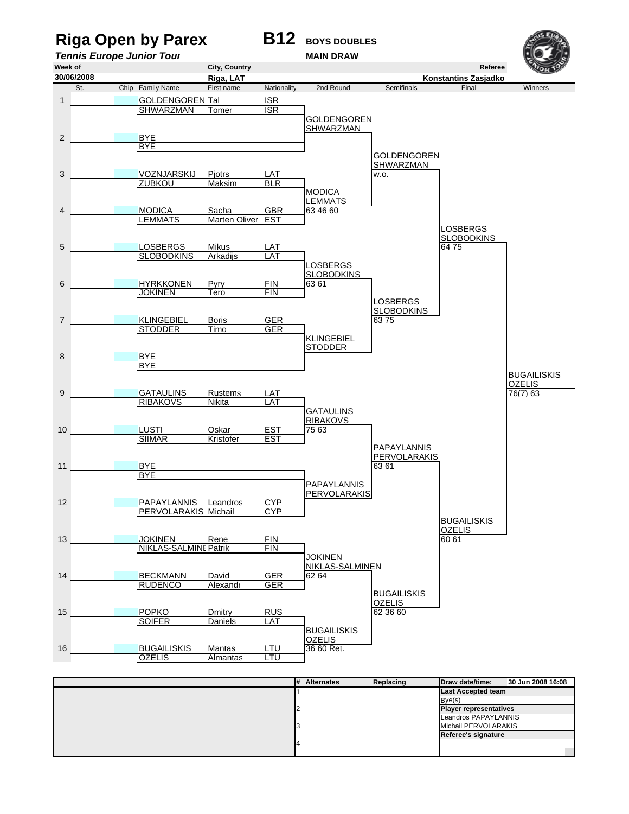## **Riga Open by Parex B12** BOYS DOUBLES





| I# | AILCHIQUES | neplacing | $I$ uaw uale/lilie.           | <b>30 JULI 2000 TO.00</b> |
|----|------------|-----------|-------------------------------|---------------------------|
|    |            |           | <b>Last Accepted team</b>     |                           |
|    |            |           | Bve(s)                        |                           |
|    |            |           | <b>Player representatives</b> |                           |
|    |            |           | Leandros PAPAYLANNIS          |                           |
|    |            |           | Michail PERVOLARAKIS          |                           |
|    |            |           | Referee's signature           |                           |
|    |            |           |                               |                           |
|    |            |           |                               |                           |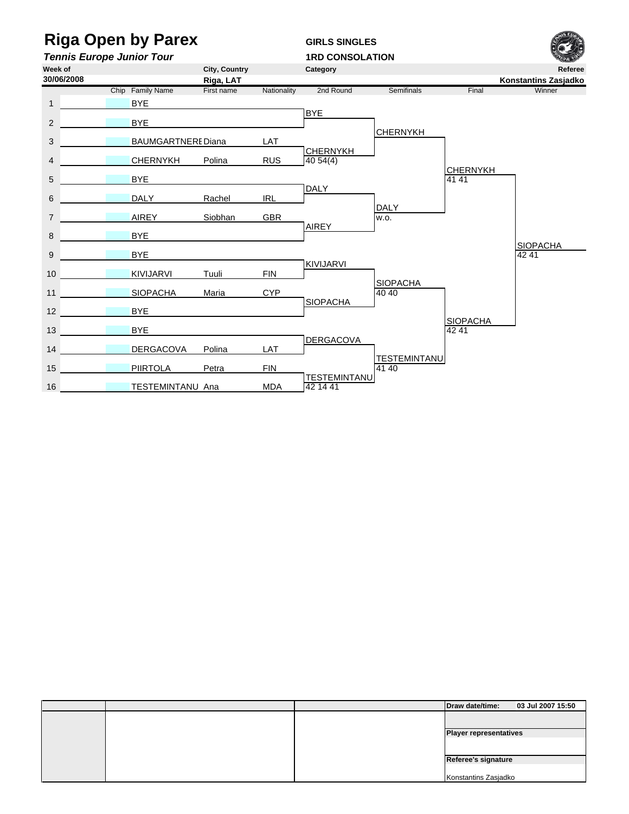# **Riga Open by Parex GIRLS SINGLES**

**Tennis Europe Junior Tour**<br>Week of **1RD CONSOLATION**<br>City. Country Category



|  |  | Draw date/time:               | 03 Jul 2007 15:50 |  |
|--|--|-------------------------------|-------------------|--|
|  |  |                               |                   |  |
|  |  |                               |                   |  |
|  |  | <b>Player representatives</b> |                   |  |
|  |  |                               |                   |  |
|  |  |                               |                   |  |
|  |  | Referee's signature           |                   |  |
|  |  |                               |                   |  |
|  |  | Konstantins Zasjadko          |                   |  |